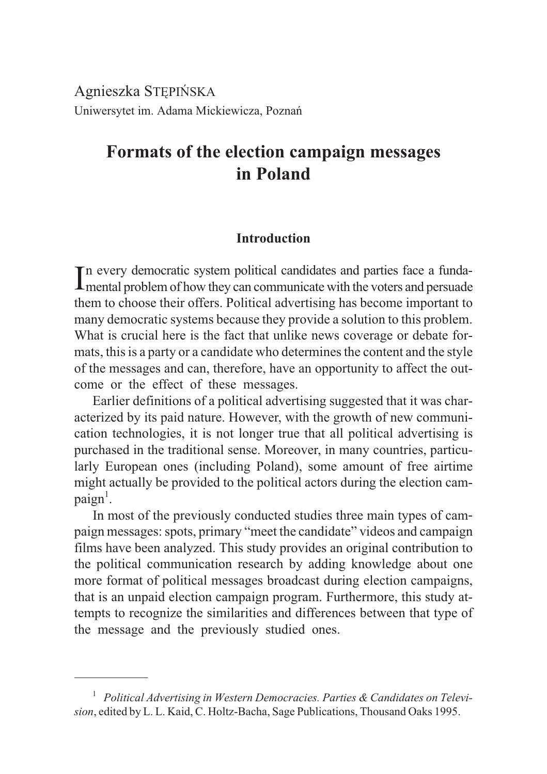Agnieszka STÊPIÑSKA Uniwersytet im. Adama Mickiewicza, Poznañ

# **Formats of the election campaign messages in Poland**

# **Introduction**

In every democratic system political candidates and parties face a funda-<br>Imental problem of how they can communicate with the voters and persuade mental problem of how they can communicate with the voters and persuade them to choose their offers. Political advertising has become important to many democratic systems because they provide a solution to this problem. What is crucial here is the fact that unlike news coverage or debate formats, this is a party or a candidate who determines the content and the style of the messages and can, therefore, have an opportunity to affect the outcome or the effect of these messages.

Earlier definitions of a political advertising suggested that it was characterized by its paid nature. However, with the growth of new communication technologies, it is not longer true that all political advertising is purchased in the traditional sense. Moreover, in many countries, particularly European ones (including Poland), some amount of free airtime might actually be provided to the political actors during the election campaign<sup>1</sup>.

In most of the previously conducted studies three main types of campaign messages: spots, primary "meet the candidate" videos and campaign films have been analyzed. This study provides an original contribution to the political communication research by adding knowledge about one more format of political messages broadcast during election campaigns, that is an unpaid election campaign program. Furthermore, this study attempts to recognize the similarities and differences between that type of the message and the previously studied ones.

<sup>&</sup>lt;sup>1</sup> Political Advertising in Western Democracies. Parties & Candidates on Televi*sion*, edited by L. L. Kaid, C. Holtz-Bacha, Sage Publications, Thousand Oaks 1995.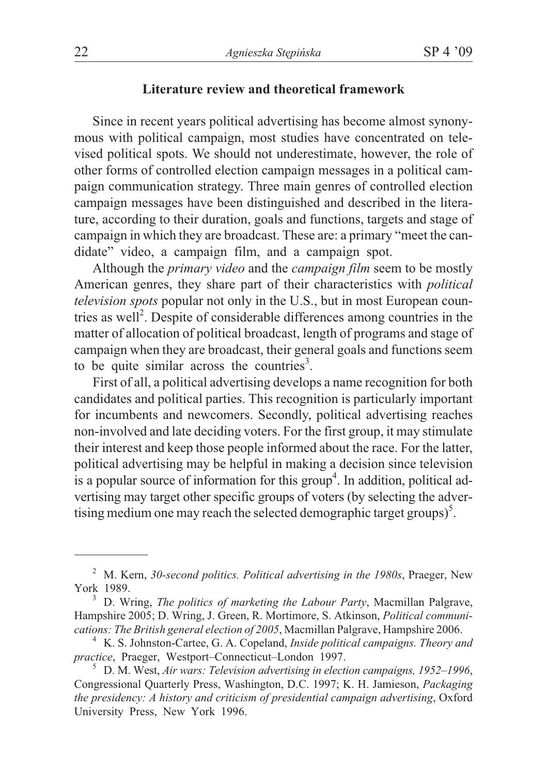# **Literature review and theoretical framework**

Since in recent years political advertising has become almost synonymous with political campaign, most studies have concentrated on televised political spots. We should not underestimate, however, the role of other forms of controlled election campaign messages in a political campaign communication strategy. Three main genres of controlled election campaign messages have been distinguished and described in the literature, according to their duration, goals and functions, targets and stage of campaign in which they are broadcast. These are: a primary "meet the candidate" video, a campaign film, and a campaign spot.

Although the *primary video* and the *campaign film* seem to be mostly American genres, they share part of their characteristics with *political television spots* popular not only in the U.S., but in most European countries as well<sup>2</sup>. Despite of considerable differences among countries in the matter of allocation of political broadcast, length of programs and stage of campaign when they are broadcast, their general goals and functions seem to be quite similar across the countries<sup>3</sup>.

First of all, a political advertising develops a name recognition for both candidates and political parties. This recognition is particularly important for incumbents and newcomers. Secondly, political advertising reaches non-involved and late deciding voters. For the first group, it may stimulate their interest and keep those people informed about the race. For the latter, political advertising may be helpful in making a decision since television is a popular source of information for this group<sup>4</sup>. In addition, political advertising may target other specific groups of voters (by selecting the advertising medium one may reach the selected demographic target groups) $<sup>5</sup>$ .</sup>

<sup>2</sup> M. Kern, *30-second politics. Political advertising in the 1980s*, Praeger, New York 1989.<br><sup>3</sup> D. Wring, *The politics of marketing the Labour Party*, Macmillan Palgrave,

Hampshire 2005; D. Wring, J. Green, R. Mortimore, S. Atkinson, *Political communi-*

<sup>&</sup>lt;sup>4</sup> K. S. Johnston-Cartee, G. A. Copeland, *Inside political campaigns. Theory and practice*, Praeger, Westport-Connecticut-London 1997.

<sup>&</sup>lt;sup>5</sup> D. M. West, *Air wars: Television advertising in election campaigns, 1952–1996*, Congressional Quarterly Press, Washington, D.C. 1997; K. H. Jamieson, *Packaging the presidency: A history and criticism of presidential campaign advertising*, Oxford University Press, New York 1996.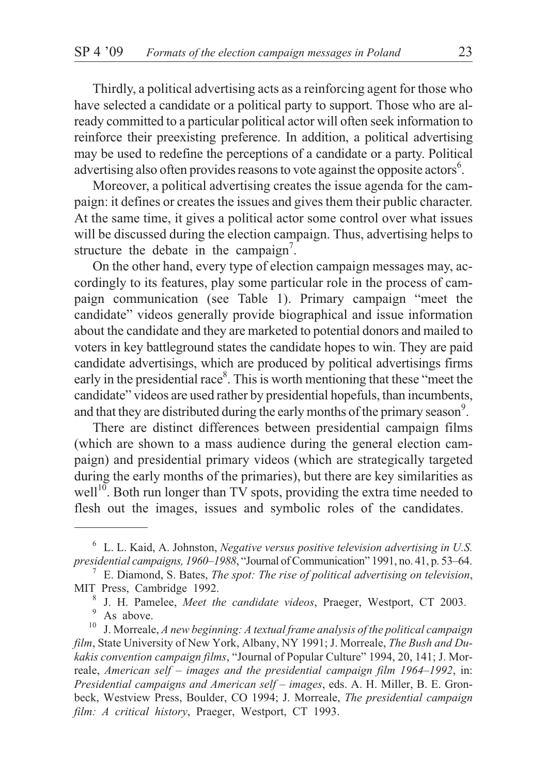Thirdly, a political advertising acts as a reinforcing agent for those who have selected a candidate or a political party to support. Those who are already committed to a particular political actor will often seek information to reinforce their preexisting preference. In addition, a political advertising may be used to redefine the perceptions of a candidate or a party. Political advertising also often provides reasons to vote against the opposite actors<sup>6</sup>.

Moreover, a political advertising creates the issue agenda for the campaign: it defines or creates the issues and gives them their public character. At the same time, it gives a political actor some control over what issues will be discussed during the election campaign. Thus, advertising helps to structure the debate in the campaign<sup>7</sup>.

On the other hand, every type of election campaign messages may, accordingly to its features, play some particular role in the process of campaign communication (see Table 1). Primary campaign "meet the candidate" videos generally provide biographical and issue information about the candidate and they are marketed to potential donors and mailed to voters in key battleground states the candidate hopes to win. They are paid candidate advertisings, which are produced by political advertisings firms early in the presidential race<sup>8</sup>. This is worth mentioning that these "meet the candidate" videos are used rather by presidential hopefuls, than incumbents, and that they are distributed during the early months of the primary season<sup>9</sup>.

There are distinct differences between presidential campaign films (which are shown to a mass audience during the general election campaign) and presidential primary videos (which are strategically targeted during the early months of the primaries), but there are key similarities as well $10^{\circ}$ . Both run longer than TV spots, providing the extra time needed to flesh out the images, issues and symbolic roles of the candidates.

<sup>6</sup> L. L. Kaid, A. Johnston, *Negative versus positive television advertising in U.S. presidential campaigns, 1960–1988*, "Journal of Communication" 1991, no. 41, p. 53–64. <sup>7</sup> E. Diamond, S. Bates, *The spot: The rise of political advertising on television*,

MIT Press, Cambridge 1992.<br><sup>8</sup> J. H. Pamelee, *Meet the candidate videos*, Praeger, Westport, CT 2003.<br><sup>9</sup> As above.<br><sup>10</sup> J. Morreale, *A new beginning: A textual frame analysis of the political campaign* 

*film*, State University of New York, Albany, NY 1991; J. Morreale, *The Bush and Dukakis convention campaign films*, "Journal of Popular Culture" 1994, 20, 141; J. Morreale, *American self – images and the presidential campaign film 1964–1992*, in: *Presidential campaigns and American self – images*, eds. A. H. Miller, B. E. Gronbeck, Westview Press, Boulder, CO 1994; J. Morreale, *The presidential campaign film: A critical history*, Praeger, Westport, CT 1993.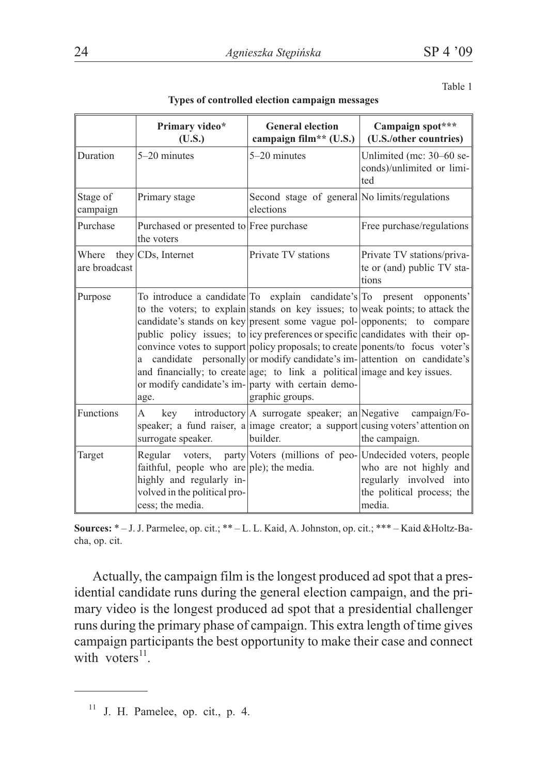Table 1

|                        | Primary video*                                                                                                                       | <b>General election</b>                                                                                                                            | Campaign spot***                                                                                                                                                                                                                                                                                                                                                                                                                                                                 |  |
|------------------------|--------------------------------------------------------------------------------------------------------------------------------------|----------------------------------------------------------------------------------------------------------------------------------------------------|----------------------------------------------------------------------------------------------------------------------------------------------------------------------------------------------------------------------------------------------------------------------------------------------------------------------------------------------------------------------------------------------------------------------------------------------------------------------------------|--|
| Duration               | (U.S.)<br>$5-20$ minutes                                                                                                             | campaign film** (U.S.)<br>5-20 minutes                                                                                                             | (U.S./other countries)<br>Unlimited (mc: 30-60 se-<br>conds)/unlimited or limi-<br>ted                                                                                                                                                                                                                                                                                                                                                                                           |  |
| Stage of<br>campaign   | Primary stage                                                                                                                        | Second stage of general No limits/regulations<br>elections                                                                                         |                                                                                                                                                                                                                                                                                                                                                                                                                                                                                  |  |
| Purchase               | Purchased or presented to Free purchase<br>the voters                                                                                |                                                                                                                                                    | Free purchase/regulations                                                                                                                                                                                                                                                                                                                                                                                                                                                        |  |
| Where<br>are broadcast | they CD <sub>s</sub> , Internet                                                                                                      | Private TV stations                                                                                                                                | Private TV stations/priva-<br>te or (and) public TV sta-<br>tions                                                                                                                                                                                                                                                                                                                                                                                                                |  |
| Purpose                | age.                                                                                                                                 | and financially; to create age; to link a political image and key issues.<br>or modify candidate's im- party with certain demo-<br>graphic groups. | To introduce a candidate To explain candidate's To present opponents'<br>to the voters; to explain stands on key issues; to weak points; to attack the<br>candidate's stands on key present some vague pol- opponents; to compare<br>public policy issues; to icy preferences or specific candidates with their op-<br>convince votes to support policy proposals; to create ponents/to focus voter's<br>candidate personally or modify candidate's im- attention on candidate's |  |
| Functions              | A<br>key<br>surrogate speaker.                                                                                                       | builder.                                                                                                                                           | introductory   A surrogate speaker; an   Negative campaign/Fo-<br>speaker; a fund raiser, a image creator; a support cusing voters' attention on<br>the campaign.                                                                                                                                                                                                                                                                                                                |  |
| Target                 | Regular<br>faithful, people who are ple); the media.<br>highly and regularly in-<br>volved in the political pro-<br>cess; the media. |                                                                                                                                                    | voters, party Voters (millions of peo- Undecided voters, people<br>who are not highly and<br>regularly involved into<br>the political process; the<br>media.                                                                                                                                                                                                                                                                                                                     |  |

**Types of controlled election campaign messages**

**Sources:** \* – J. J. Parmelee, op. cit.; \*\* – L. L. Kaid, A. Johnston, op. cit.; \*\*\* – Kaid &Holtz-Bacha, op. cit.

Actually, the campaign film is the longest produced ad spot that a presidential candidate runs during the general election campaign, and the primary video is the longest produced ad spot that a presidential challenger runs during the primary phase of campaign. This extra length of time gives campaign participants the best opportunity to make their case and connect with voters $11$ .

<sup>11</sup> J. H. Pamelee, op. cit., p. 4.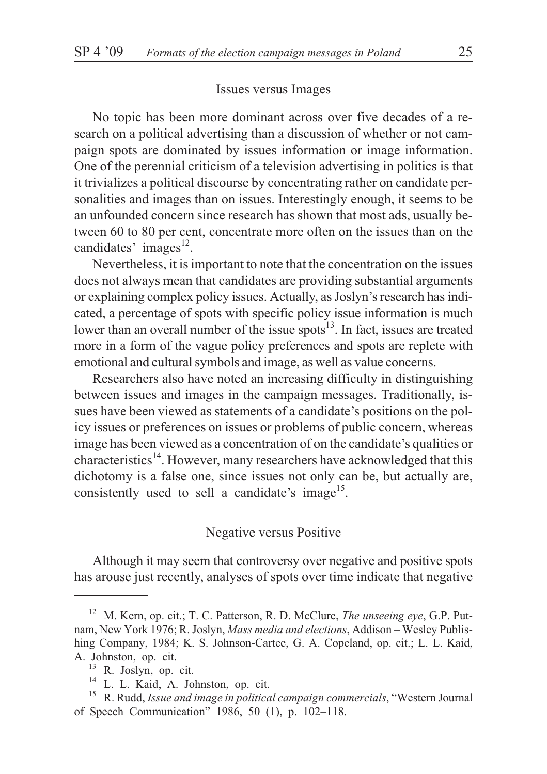# Issues versus Images

No topic has been more dominant across over five decades of a research on a political advertising than a discussion of whether or not campaign spots are dominated by issues information or image information. One of the perennial criticism of a television advertising in politics is that it trivializes a political discourse by concentrating rather on candidate personalities and images than on issues. Interestingly enough, it seems to be an unfounded concern since research has shown that most ads, usually between 60 to 80 per cent, concentrate more often on the issues than on the candidates' images<sup>12</sup>.

Nevertheless, it is important to note that the concentration on the issues does not always mean that candidates are providing substantial arguments or explaining complex policy issues. Actually, as Joslyn's research has indicated, a percentage of spots with specific policy issue information is much lower than an overall number of the issue spots $^{13}$ . In fact, issues are treated more in a form of the vague policy preferences and spots are replete with emotional and cultural symbols and image, as well as value concerns.

Researchers also have noted an increasing difficulty in distinguishing between issues and images in the campaign messages. Traditionally, issues have been viewed as statements of a candidate's positions on the policy issues or preferences on issues or problems of public concern, whereas image has been viewed as a concentration of on the candidate's qualities or characteristics<sup>14</sup>. However, many researchers have acknowledged that this dichotomy is a false one, since issues not only can be, but actually are, consistently used to sell a candidate's image<sup>15</sup>.

# Negative versus Positive

Although it may seem that controversy over negative and positive spots has arouse just recently, analyses of spots over time indicate that negative

<sup>12</sup> M. Kern, op. cit.; T. C. Patterson, R. D. McClure, *The unseeing eye*, G.P. Putnam, New York 1976; R. Joslyn, *Mass media and elections*, Addison – Wesley Publishing Company, 1984; K. S. Johnson-Cartee, G. A. Copeland, op. cit.; L. L. Kaid, A. Johnston, op. cit.<br><sup>13</sup> R. Joslyn, op. cit.<br><sup>14</sup> L. L. Kaid, A. Johnston, op. cit.<br><sup>15</sup> R. Rudd, *Issue and image in political campaign commercials*, "Western Journal

of Speech Communication" 1986, 50 (1), p. 102–118.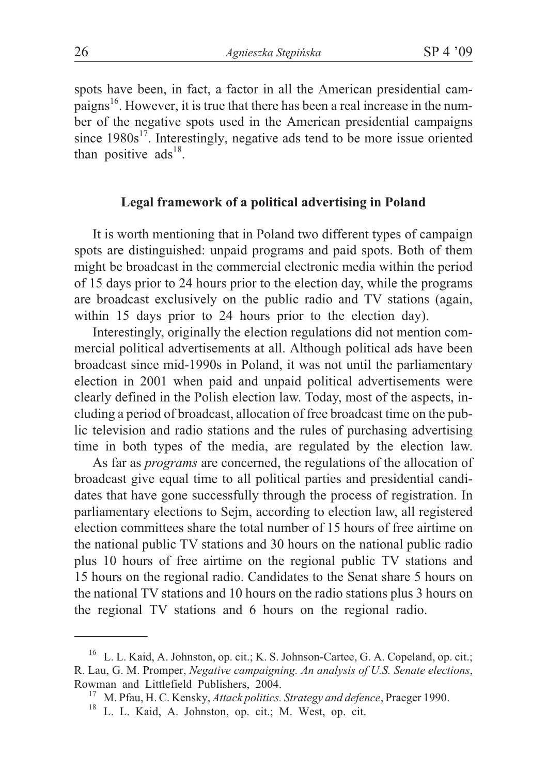spots have been, in fact, a factor in all the American presidential campaigns<sup>16</sup>. However, it is true that there has been a real increase in the number of the negative spots used in the American presidential campaigns since  $1980s^{17}$ . Interestingly, negative ads tend to be more issue oriented than positive  $ads^{18}$ .

# **Legal framework of a political advertising in Poland**

It is worth mentioning that in Poland two different types of campaign spots are distinguished: unpaid programs and paid spots. Both of them might be broadcast in the commercial electronic media within the period of 15 days prior to 24 hours prior to the election day, while the programs are broadcast exclusively on the public radio and TV stations (again, within 15 days prior to 24 hours prior to the election day).

Interestingly, originally the election regulations did not mention commercial political advertisements at all. Although political ads have been broadcast since mid-1990s in Poland, it was not until the parliamentary election in 2001 when paid and unpaid political advertisements were clearly defined in the Polish election law. Today, most of the aspects, including a period of broadcast, allocation of free broadcast time on the public television and radio stations and the rules of purchasing advertising time in both types of the media, are regulated by the election law.

As far as *programs* are concerned, the regulations of the allocation of broadcast give equal time to all political parties and presidential candidates that have gone successfully through the process of registration. In parliamentary elections to Sejm, according to election law, all registered election committees share the total number of 15 hours of free airtime on the national public TV stations and 30 hours on the national public radio plus 10 hours of free airtime on the regional public TV stations and 15 hours on the regional radio. Candidates to the Senat share 5 hours on the national TV stations and 10 hours on the radio stations plus 3 hours on the regional TV stations and 6 hours on the regional radio.

<sup>16</sup> L. L. Kaid, A. Johnston, op. cit.; K. S. Johnson-Cartee, G. A. Copeland, op. cit.; R. Lau, G. M. Promper, *Negative campaigning. An analysis of U.S. Senate elections*, Rowman and Littlefield Publishers, 2004.<br><sup>17</sup> M. Pfau, H. C. Kensky, *Attack politics. Strategy and defence*, Praeger 1990.<br><sup>18</sup> L. L. Kaid, A. Johnston, op. cit.; M. West, op. cit.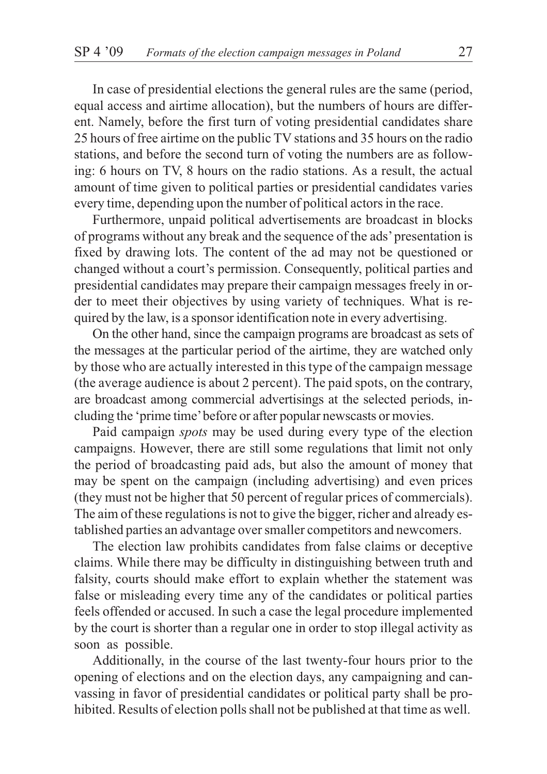In case of presidential elections the general rules are the same (period, equal access and airtime allocation), but the numbers of hours are different. Namely, before the first turn of voting presidential candidates share 25 hours of free airtime on the public TV stations and 35 hours on the radio stations, and before the second turn of voting the numbers are as following: 6 hours on TV, 8 hours on the radio stations. As a result, the actual amount of time given to political parties or presidential candidates varies every time, depending upon the number of political actors in the race.

Furthermore, unpaid political advertisements are broadcast in blocks of programs without any break and the sequence of the ads'presentation is fixed by drawing lots. The content of the ad may not be questioned or changed without a court's permission. Consequently, political parties and presidential candidates may prepare their campaign messages freely in order to meet their objectives by using variety of techniques. What is required by the law, is a sponsor identification note in every advertising.

On the other hand, since the campaign programs are broadcast as sets of the messages at the particular period of the airtime, they are watched only by those who are actually interested in this type of the campaign message (the average audience is about 2 percent). The paid spots, on the contrary, are broadcast among commercial advertisings at the selected periods, including the 'prime time'before or after popular newscasts or movies.

Paid campaign *spots* may be used during every type of the election campaigns. However, there are still some regulations that limit not only the period of broadcasting paid ads, but also the amount of money that may be spent on the campaign (including advertising) and even prices (they must not be higher that 50 percent of regular prices of commercials). The aim of these regulations is not to give the bigger, richer and already established parties an advantage over smaller competitors and newcomers.

The election law prohibits candidates from false claims or deceptive claims. While there may be difficulty in distinguishing between truth and falsity, courts should make effort to explain whether the statement was false or misleading every time any of the candidates or political parties feels offended or accused. In such a case the legal procedure implemented by the court is shorter than a regular one in order to stop illegal activity as soon as possible.

Additionally, in the course of the last twenty-four hours prior to the opening of elections and on the election days, any campaigning and canvassing in favor of presidential candidates or political party shall be prohibited. Results of election polls shall not be published at that time as well.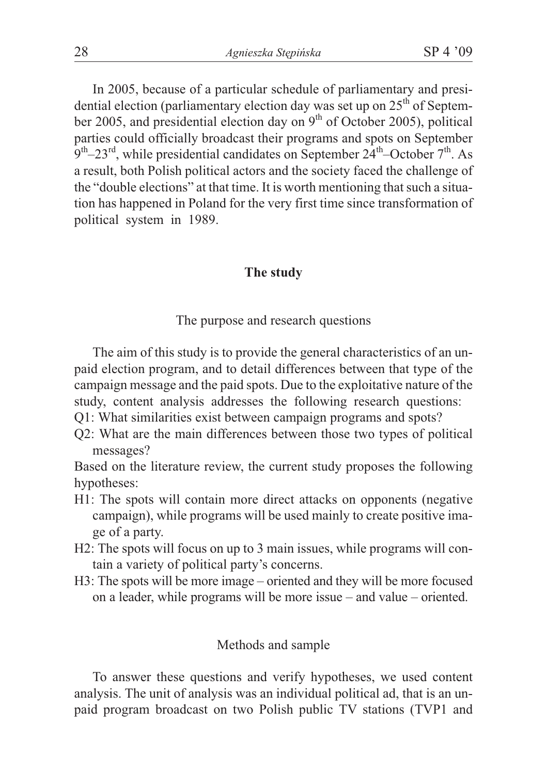In 2005, because of a particular schedule of parliamentary and presidential election (parliamentary election day was set up on  $25<sup>th</sup>$  of September 2005, and presidential election day on  $9<sup>th</sup>$  of October 2005), political parties could officially broadcast their programs and spots on September  $9<sup>th</sup> - 23<sup>rd</sup>$ , while presidential candidates on September 24<sup>th</sup>–October 7<sup>th</sup>. As a result, both Polish political actors and the society faced the challenge of the "double elections" at that time. It is worth mentioning that such a situation has happened in Poland for the very first time since transformation of political system in 1989.

# **The study**

The purpose and research questions

The aim of this study is to provide the general characteristics of an unpaid election program, and to detail differences between that type of the campaign message and the paid spots. Due to the exploitative nature of the study, content analysis addresses the following research questions:

- Q1: What similarities exist between campaign programs and spots?
- Q2: What are the main differences between those two types of political messages?

Based on the literature review, the current study proposes the following hypotheses:

- H1: The spots will contain more direct attacks on opponents (negative campaign), while programs will be used mainly to create positive image of a party.
- H2: The spots will focus on up to 3 main issues, while programs will contain a variety of political party's concerns.
- H3: The spots will be more image oriented and they will be more focused on a leader, while programs will be more issue – and value – oriented.

### Methods and sample

To answer these questions and verify hypotheses, we used content analysis. The unit of analysis was an individual political ad, that is an unpaid program broadcast on two Polish public TV stations (TVP1 and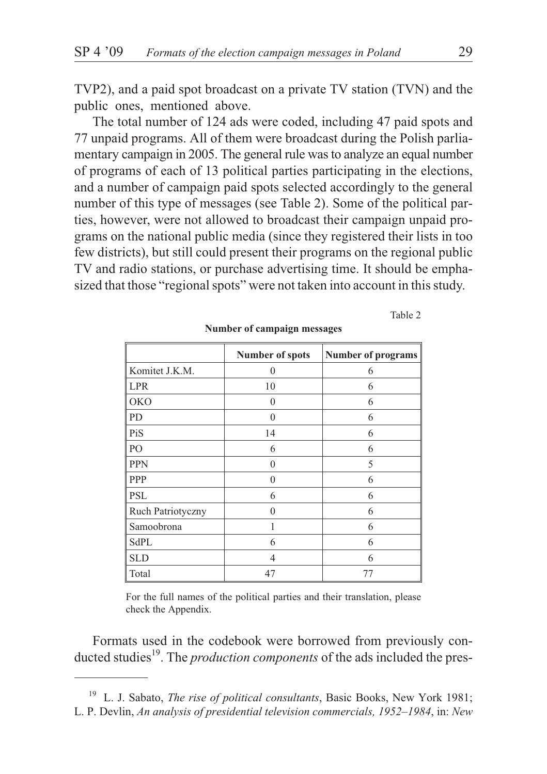TVP2), and a paid spot broadcast on a private TV station (TVN) and the public ones, mentioned above.

The total number of 124 ads were coded, including 47 paid spots and 77 unpaid programs. All of them were broadcast during the Polish parliamentary campaign in 2005. The general rule was to analyze an equal number of programs of each of 13 political parties participating in the elections, and a number of campaign paid spots selected accordingly to the general number of this type of messages (see Table 2). Some of the political parties, however, were not allowed to broadcast their campaign unpaid programs on the national public media (since they registered their lists in too few districts), but still could present their programs on the regional public TV and radio stations, or purchase advertising time. It should be emphasized that those "regional spots" were not taken into account in this study.

|                   | Number of spots | <b>Number of programs</b> |  |
|-------------------|-----------------|---------------------------|--|
| Komitet J.K.M.    | $\theta$        | 6                         |  |
| <b>LPR</b>        | 10              | 6                         |  |
| <b>OKO</b>        | $\theta$        | 6                         |  |
| PD                | $\theta$        | 6                         |  |
| PiS               | 14              | 6                         |  |
| PO                | 6               | 6                         |  |
| <b>PPN</b>        | $\Omega$        | 5                         |  |
| PPP               | $\Omega$        | 6                         |  |
| PSL               | 6               | 6                         |  |
| Ruch Patriotyczny | $\Omega$        | 6                         |  |
| Samoobrona        |                 | 6                         |  |
| SdPL              | 6               | 6                         |  |
| SLD               | $\overline{4}$  | 6                         |  |
| Total             | 47              | 77                        |  |

#### **Number of campaign messages**

For the full names of the political parties and their translation, please check the Appendix.

Formats used in the codebook were borrowed from previously conducted studies<sup>19</sup>. The *production components* of the ads included the pres-

Table 2

<sup>19</sup> L. J. Sabato, *The rise of political consultants*, Basic Books, New York 1981; L. P. Devlin, *An analysis of presidential television commercials, 1952–1984*, in: *New*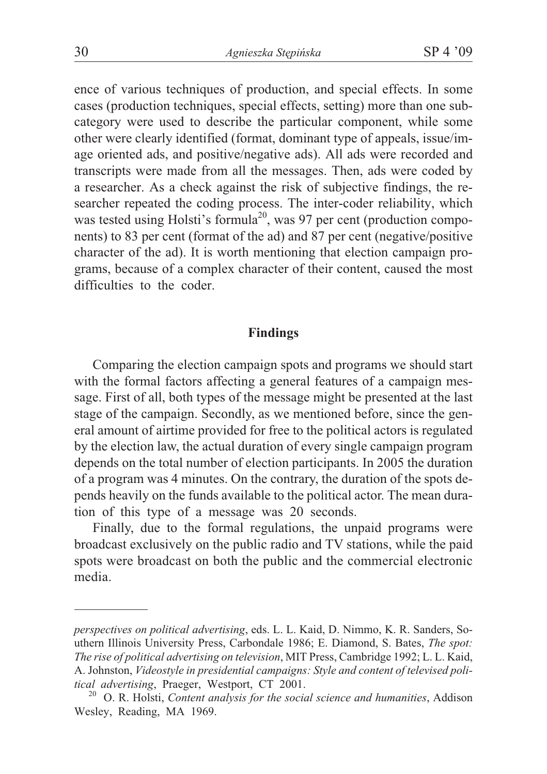ence of various techniques of production, and special effects. In some cases (production techniques, special effects, setting) more than one subcategory were used to describe the particular component, while some other were clearly identified (format, dominant type of appeals, issue/image oriented ads, and positive/negative ads). All ads were recorded and transcripts were made from all the messages. Then, ads were coded by a researcher. As a check against the risk of subjective findings, the researcher repeated the coding process. The inter-coder reliability, which was tested using Holsti's formula<sup>20</sup>, was 97 per cent (production components) to 83 per cent (format of the ad) and 87 per cent (negative/positive character of the ad). It is worth mentioning that election campaign programs, because of a complex character of their content, caused the most difficulties to the coder.

# **Findings**

Comparing the election campaign spots and programs we should start with the formal factors affecting a general features of a campaign message. First of all, both types of the message might be presented at the last stage of the campaign. Secondly, as we mentioned before, since the general amount of airtime provided for free to the political actors is regulated by the election law, the actual duration of every single campaign program depends on the total number of election participants. In 2005 the duration of a program was 4 minutes. On the contrary, the duration of the spots depends heavily on the funds available to the political actor. The mean duration of this type of a message was 20 seconds.

Finally, due to the formal regulations, the unpaid programs were broadcast exclusively on the public radio and TV stations, while the paid spots were broadcast on both the public and the commercial electronic media.

*perspectives on political advertising*, eds. L. L. Kaid, D. Nimmo, K. R. Sanders, Southern Illinois University Press, Carbondale 1986; E. Diamond, S. Bates, *The spot: The rise of political advertising on television*, MIT Press, Cambridge 1992; L. L. Kaid, A. Johnston, *Videostyle in presidential campaigns: Style and content of televised political advertising*, Praeger, Westport, CT 2001.<br><sup>20</sup> O. R. Holsti, *Content analysis for the social science and humanities*, Addison

Wesley, Reading, MA 1969.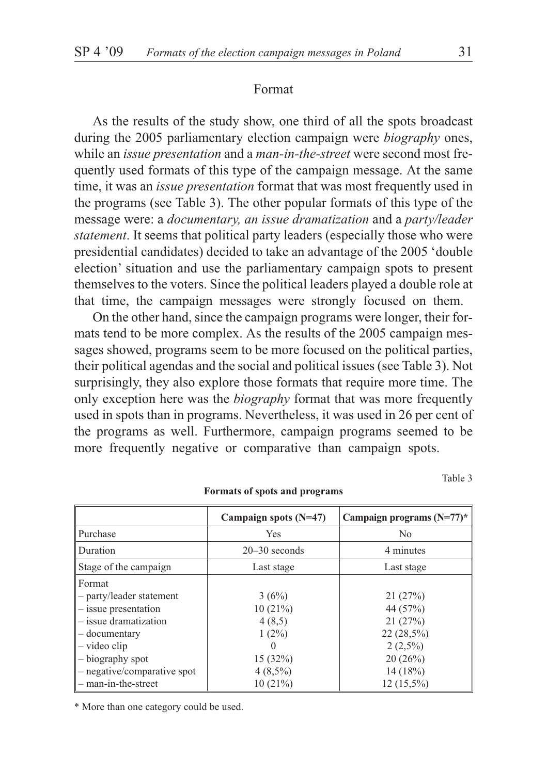#### Format

As the results of the study show, one third of all the spots broadcast during the 2005 parliamentary election campaign were *biography* ones, while an *issue presentation* and a *man-in-the-street* were second most frequently used formats of this type of the campaign message. At the same time, it was an *issue presentation* format that was most frequently used in the programs (see Table 3). The other popular formats of this type of the message were: a *documentary, an issue dramatization* and a *party/leader statement*. It seems that political party leaders (especially those who were presidential candidates) decided to take an advantage of the 2005 'double election' situation and use the parliamentary campaign spots to present themselves to the voters. Since the political leaders played a double role at that time, the campaign messages were strongly focused on them.

On the other hand, since the campaign programs were longer, their formats tend to be more complex. As the results of the 2005 campaign messages showed, programs seem to be more focused on the political parties, their political agendas and the social and political issues (see Table 3). Not surprisingly, they also explore those formats that require more time. The only exception here was the *biography* format that was more frequently used in spots than in programs. Nevertheless, it was used in 26 per cent of the programs as well. Furthermore, campaign programs seemed to be more frequently negative or comparative than campaign spots.

Table 3

|                             | Campaign spots $(N=47)$        | Campaign programs $(N=77)$ * |  |
|-----------------------------|--------------------------------|------------------------------|--|
| Purchase                    | Yes                            | No                           |  |
| Duration                    | $20 - 30$ seconds<br>4 minutes |                              |  |
| Stage of the campaign       | Last stage<br>Last stage       |                              |  |
| Format                      |                                |                              |  |
| - party/leader statement    | 3(6%)                          | 21(27%)                      |  |
| $-$ issue presentation      | 10(21%)                        | 44 (57%)                     |  |
| $-$ issue dramatization     | 4(8,5)                         | 21(27%)                      |  |
| - documentary               | $1(2\%)$                       | $22(28,5\%)$                 |  |
| $-$ video clip              |                                | $2(2,5\%)$                   |  |
| - biography spot            | 15(32%)                        | 20(26%)                      |  |
| - negative/comparative spot | $4(8,5\%)$                     | 14(18%)                      |  |
| $-$ man-in-the-street       | 10(21%)                        | $12(15,5\%)$                 |  |

#### **Formats of spots and programs**

\* More than one category could be used.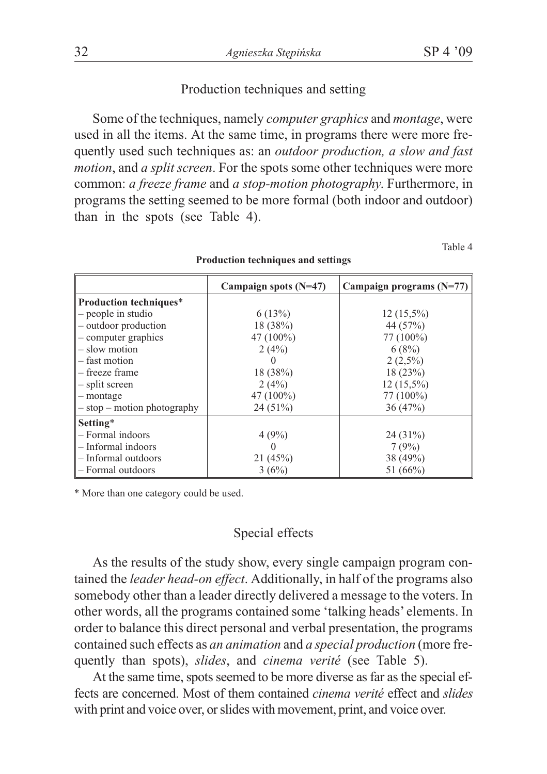## Production techniques and setting

Some of the techniques, namely *computer graphics* and *montage*, were used in all the items. At the same time, in programs there were more frequently used such techniques as: an *outdoor production, a slow and fast motion*, and *a split screen*. For the spots some other techniques were more common: *a freeze frame* and *a stop-motion photography*. Furthermore, in programs the setting seemed to be more formal (both indoor and outdoor) than in the spots (see Table 4).

Table 4

|                                 | Campaign spots $(N=47)$ | Campaign programs $(N=77)$ |
|---------------------------------|-------------------------|----------------------------|
| <b>Production techniques*</b>   |                         |                            |
| - people in studio              | 6(13%)                  | $12(15,5\%)$               |
| - outdoor production            | 18(38%)                 | 44 (57%)                   |
| - computer graphics             | 47 $(100\%)$            | 77 (100%)                  |
| - slow motion                   | 2(4%)                   | 6(8%)                      |
| - fast motion                   |                         | $2(2,5\%)$                 |
| - freeze frame                  | 18(38%)                 | 18(23%)                    |
| - split screen                  | 2(4%)                   | $12(15,5\%)$               |
| $-$ montage                     | 47 $(100\%)$            | 77 (100%)                  |
| $-$ stop $-$ motion photography | 24(51%)                 | 36(47%)                    |
| Setting*                        |                         |                            |
| - Formal indoors                | 4(9%)                   | $24(31\%)$                 |
| $-$ Informal indoors            |                         | 7(9%)                      |
| - Informal outdoors             | 21(45%)                 | 38 (49%)                   |
| - Formal outdoors               | 3(6%)                   | 51 (66%)                   |

**Production techniques and settings**

\* More than one category could be used.

# Special effects

As the results of the study show, every single campaign program contained the *leader head-on effect*. Additionally, in half of the programs also somebody other than a leader directly delivered a message to the voters. In other words, all the programs contained some 'talking heads' elements. In order to balance this direct personal and verbal presentation, the programs contained such effects as *an animation* and *a special production* (more frequently than spots), *slides*, and *cinema verité* (see Table 5).

At the same time, spots seemed to be more diverse as far as the special effects are concerned. Most of them contained *cinema verité* effect and *slides* with print and voice over, or slides with movement, print, and voice over.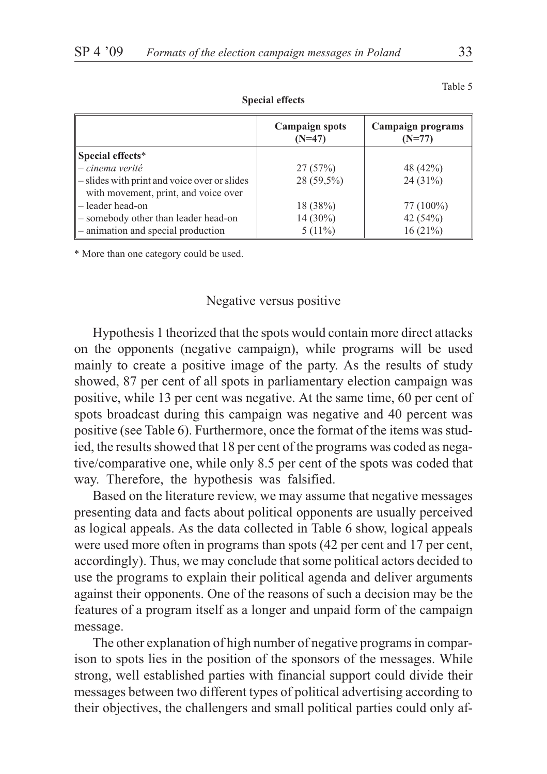| $\sim$ $\sim$ $\sim$ $\sim$ $\sim$ $\sim$ $\sim$ $\sim$ |                                   |                               |  |
|---------------------------------------------------------|-----------------------------------|-------------------------------|--|
|                                                         | <b>Campaign spots</b><br>$(N=47)$ | Campaign programs<br>$(N=77)$ |  |
| Special effects*                                        |                                   |                               |  |
| - cinema verité                                         | 27(57%)                           | 48 (42%)                      |  |
| - slides with print and voice over or slides            | $28(59,5\%)$                      | $24(31\%)$                    |  |
| with movement, print, and voice over                    |                                   |                               |  |
| - leader head-on                                        | 18(38%)                           | 77 (100%)                     |  |
| - somebody other than leader head-on                    | $14(30\%)$                        | 42 $(54%)$                    |  |
| $\parallel$ – animation and special production          | $5(11\%)$                         | 16(21%)                       |  |

**Special effects**

\* More than one category could be used.

#### Negative versus positive

Hypothesis 1 theorized that the spots would contain more direct attacks on the opponents (negative campaign), while programs will be used mainly to create a positive image of the party. As the results of study showed, 87 per cent of all spots in parliamentary election campaign was positive, while 13 per cent was negative. At the same time, 60 per cent of spots broadcast during this campaign was negative and 40 percent was positive (see Table 6). Furthermore, once the format of the items was studied, the results showed that 18 per cent of the programs was coded as negative/comparative one, while only 8.5 per cent of the spots was coded that way. Therefore, the hypothesis was falsified.

Based on the literature review, we may assume that negative messages presenting data and facts about political opponents are usually perceived as logical appeals. As the data collected in Table 6 show, logical appeals were used more often in programs than spots (42 per cent and 17 per cent, accordingly). Thus, we may conclude that some political actors decided to use the programs to explain their political agenda and deliver arguments against their opponents. One of the reasons of such a decision may be the features of a program itself as a longer and unpaid form of the campaign message.

The other explanation of high number of negative programs in comparison to spots lies in the position of the sponsors of the messages. While strong, well established parties with financial support could divide their messages between two different types of political advertising according to their objectives, the challengers and small political parties could only af-

Table 5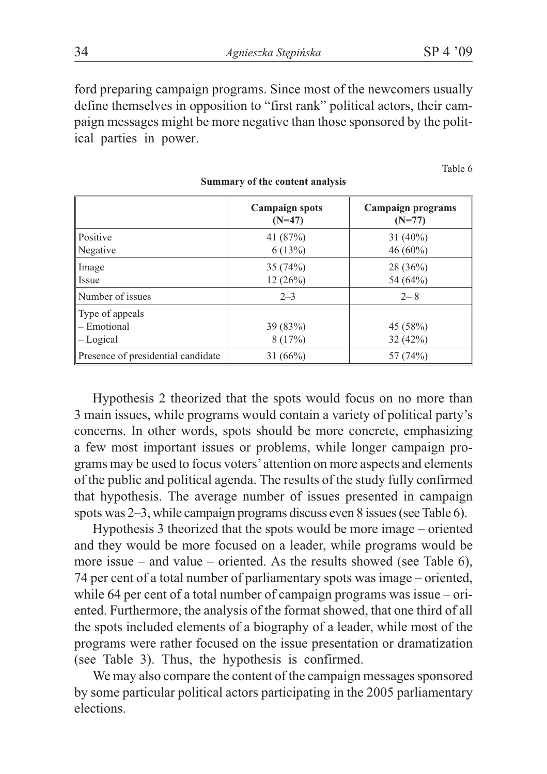34 *Agnieszka Stêpiñska* SP 4 '09

ford preparing campaign programs. Since most of the newcomers usually define themselves in opposition to "first rank" political actors, their campaign messages might be more negative than those sponsored by the political parties in power.

Table 6

|                                             | <b>Campaign spots</b><br>$(N=47)$ | Campaign programs<br>$(N=77)$ |
|---------------------------------------------|-----------------------------------|-------------------------------|
| Positive<br>Negative                        | 41 (87%)<br>6(13%)                | $31(40\%)$<br>$46(60\%)$      |
| Image<br><b>Issue</b>                       | 35(74%)<br>12(26%)                | 28(36%)<br>54 (64%)           |
| Number of issues                            | $2 - 3$                           | $2 - 8$                       |
| Type of appeals<br>- Emotional<br>- Logical | 39(83%)<br>8(17%)                 | 45 (58%)<br>32(42%)           |
| Presence of presidential candidate          | 31(66%)                           | 57 (74%)                      |

#### **Summary of the content analysis**

Hypothesis 2 theorized that the spots would focus on no more than 3 main issues, while programs would contain a variety of political party's concerns. In other words, spots should be more concrete, emphasizing a few most important issues or problems, while longer campaign programs may be used to focus voters'attention on more aspects and elements of the public and political agenda. The results of the study fully confirmed that hypothesis. The average number of issues presented in campaign spots was 2–3, while campaign programs discuss even 8 issues (see Table 6).

Hypothesis 3 theorized that the spots would be more image – oriented and they would be more focused on a leader, while programs would be more issue – and value – oriented. As the results showed (see Table  $6$ ), 74 per cent of a total number of parliamentary spots was image – oriented, while 64 per cent of a total number of campaign programs was issue – oriented. Furthermore, the analysis of the format showed, that one third of all the spots included elements of a biography of a leader, while most of the programs were rather focused on the issue presentation or dramatization (see Table 3). Thus, the hypothesis is confirmed.

We may also compare the content of the campaign messages sponsored by some particular political actors participating in the 2005 parliamentary elections.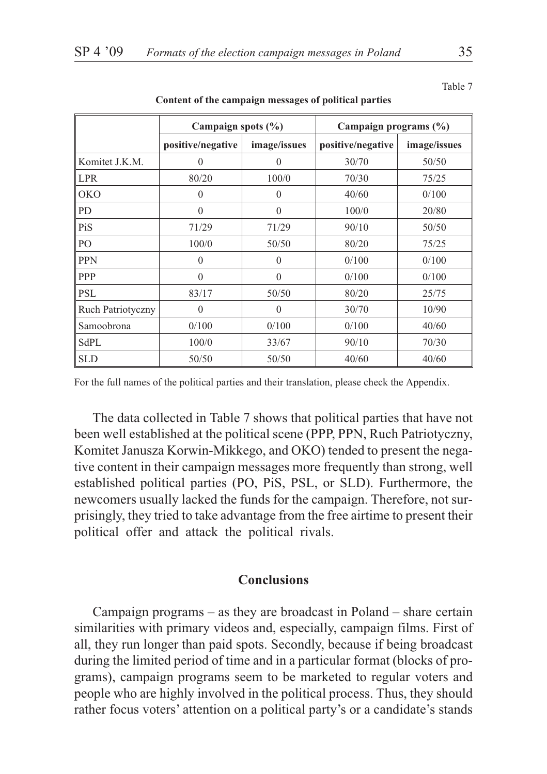|                          | Campaign spots $(\% )$ |              | Campaign programs $(\% )$ |              |
|--------------------------|------------------------|--------------|---------------------------|--------------|
|                          | positive/negative      | image/issues | positive/negative         | image/issues |
| Komitet J.K.M.           | $\theta$               | $\theta$     | 30/70                     | 50/50        |
| LPR                      | 80/20                  | 100/0        | 70/30                     | 75/25        |
| <b>OKO</b>               | $\theta$               | $\theta$     | 40/60                     | 0/100        |
| PD                       | $\Omega$               | $\mathbf{0}$ | 100/0                     | 20/80        |
| PiS                      | 71/29                  | 71/29        | 90/10                     | 50/50        |
| PO                       | 100/0                  | 50/50        | 80/20                     | 75/25        |
| <b>PPN</b>               | $\theta$               | $\theta$     | 0/100                     | 0/100        |
| PPP                      | $\Omega$               | $\theta$     | 0/100                     | 0/100        |
| <b>PSL</b>               | 83/17                  | 50/50        | 80/20                     | 25/75        |
| <b>Ruch Patriotyczny</b> | $\Omega$               | $\theta$     | 30/70                     | 10/90        |
| Samoobrona               | 0/100                  | 0/100        | 0/100                     | 40/60        |
| SdPL                     | 100/0                  | 33/67        | 90/10                     | 70/30        |
| <b>SLD</b>               | 50/50                  | 50/50        | 40/60                     | 40/60        |

**Content of the campaign messages of political parties**

For the full names of the political parties and their translation, please check the Appendix.

The data collected in Table 7 shows that political parties that have not been well established at the political scene (PPP, PPN, Ruch Patriotyczny, Komitet Janusza Korwin-Mikkego, and OKO) tended to present the negative content in their campaign messages more frequently than strong, well established political parties (PO, PiS, PSL, or SLD). Furthermore, the newcomers usually lacked the funds for the campaign. Therefore, not surprisingly, they tried to take advantage from the free airtime to present their political offer and attack the political rivals.

# **Conclusions**

Campaign programs – as they are broadcast in Poland – share certain similarities with primary videos and, especially, campaign films. First of all, they run longer than paid spots. Secondly, because if being broadcast during the limited period of time and in a particular format (blocks of programs), campaign programs seem to be marketed to regular voters and people who are highly involved in the political process. Thus, they should rather focus voters' attention on a political party's or a candidate's stands

Table 7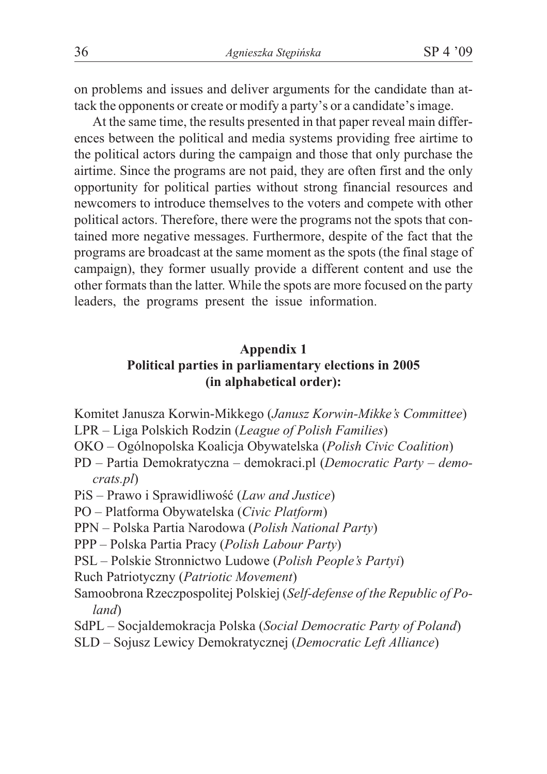on problems and issues and deliver arguments for the candidate than attack the opponents or create or modify a party's or a candidate's image.

At the same time, the results presented in that paper reveal main differences between the political and media systems providing free airtime to the political actors during the campaign and those that only purchase the airtime. Since the programs are not paid, they are often first and the only opportunity for political parties without strong financial resources and newcomers to introduce themselves to the voters and compete with other political actors. Therefore, there were the programs not the spots that contained more negative messages. Furthermore, despite of the fact that the programs are broadcast at the same moment as the spots (the final stage of campaign), they former usually provide a different content and use the other formats than the latter. While the spots are more focused on the party leaders, the programs present the issue information.

# **Appendix 1 Political parties in parliamentary elections in 2005 (in alphabetical order):**

- Komitet Janusza Korwin-Mikkego (*Janusz Korwin-Mikke's Committee*)
- LPR Liga Polskich Rodzin (*League of Polish Families*)
- OKO Ogólnopolska Koalicja Obywatelska (*Polish Civic Coalition*)
- PD Partia Demokratyczna demokraci.pl (*Democratic Party democrats.pl*)
- PiS Prawo i Sprawidliwość (*Law and Justice*)
- PO Platforma Obywatelska (*Civic Platform*)
- PPN Polska Partia Narodowa (*Polish National Party*)
- PPP Polska Partia Pracy (*Polish Labour Party*)
- PSL Polskie Stronnictwo Ludowe (*Polish People's Partyi*)
- Ruch Patriotyczny (*Patriotic Movement*)
- Samoobrona Rzeczpospolitej Polskiej (*Self-defense of the Republic of Poland*)
- SdPL Socjaldemokracja Polska (*Social Democratic Party of Poland*)
- SLD Sojusz Lewicy Demokratycznej (*Democratic Left Alliance*)